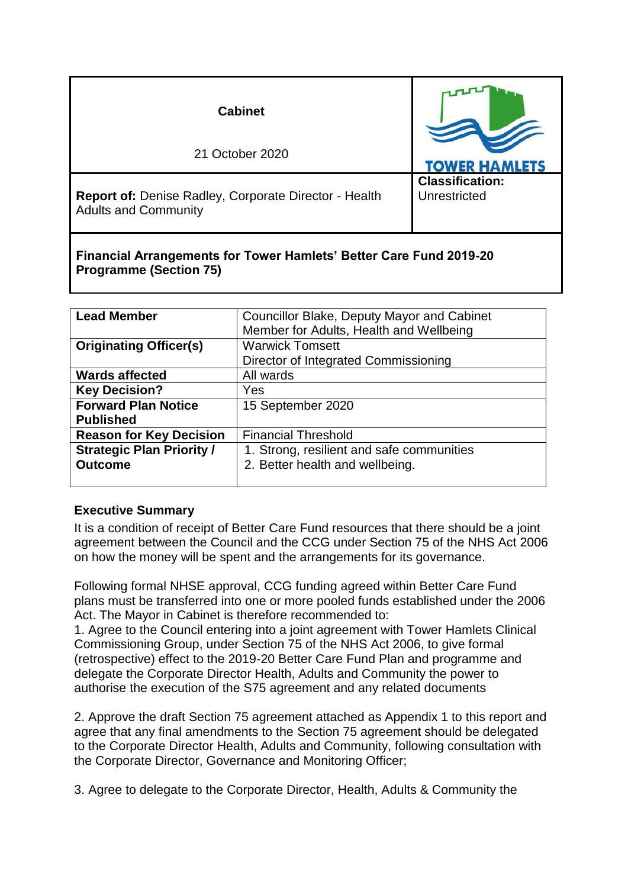| <b>Cabinet</b>                                                                       |                                        |
|--------------------------------------------------------------------------------------|----------------------------------------|
| 21 October 2020                                                                      | <b>TOWER HAMLETS</b>                   |
| Report of: Denise Radley, Corporate Director - Health<br><b>Adults and Community</b> | <b>Classification:</b><br>Unrestricted |

### **Financial Arrangements for Tower Hamlets' Better Care Fund 2019-20 Programme (Section 75)**

| <b>Lead Member</b>               | <b>Councillor Blake, Deputy Mayor and Cabinet</b> |  |
|----------------------------------|---------------------------------------------------|--|
|                                  | Member for Adults, Health and Wellbeing           |  |
| <b>Originating Officer(s)</b>    | <b>Warwick Tomsett</b>                            |  |
|                                  | Director of Integrated Commissioning              |  |
| <b>Wards affected</b>            | All wards                                         |  |
| <b>Key Decision?</b>             | Yes                                               |  |
| <b>Forward Plan Notice</b>       | 15 September 2020                                 |  |
| <b>Published</b>                 |                                                   |  |
| <b>Reason for Key Decision</b>   | <b>Financial Threshold</b>                        |  |
| <b>Strategic Plan Priority /</b> | 1. Strong, resilient and safe communities         |  |
| <b>Outcome</b>                   | 2. Better health and wellbeing.                   |  |
|                                  |                                                   |  |

### **Executive Summary**

It is a condition of receipt of Better Care Fund resources that there should be a joint agreement between the Council and the CCG under Section 75 of the NHS Act 2006 on how the money will be spent and the arrangements for its governance.

Following formal NHSE approval, CCG funding agreed within Better Care Fund plans must be transferred into one or more pooled funds established under the 2006 Act. The Mayor in Cabinet is therefore recommended to:

1. Agree to the Council entering into a joint agreement with Tower Hamlets Clinical Commissioning Group, under Section 75 of the NHS Act 2006, to give formal (retrospective) effect to the 2019-20 Better Care Fund Plan and programme and delegate the Corporate Director Health, Adults and Community the power to authorise the execution of the S75 agreement and any related documents

2. Approve the draft Section 75 agreement attached as Appendix 1 to this report and agree that any final amendments to the Section 75 agreement should be delegated to the Corporate Director Health, Adults and Community, following consultation with the Corporate Director, Governance and Monitoring Officer;

3. Agree to delegate to the Corporate Director, Health, Adults & Community the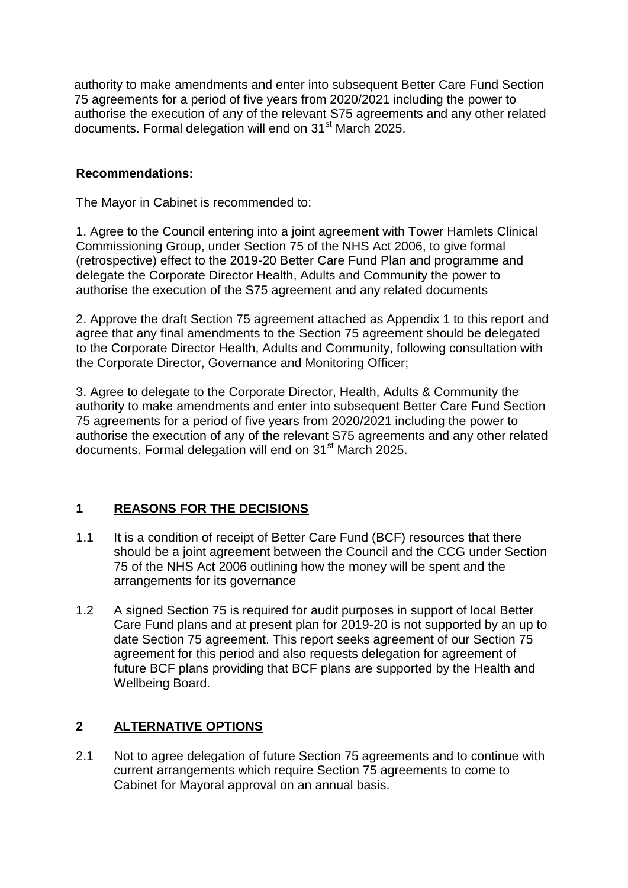authority to make amendments and enter into subsequent Better Care Fund Section 75 agreements for a period of five years from 2020/2021 including the power to authorise the execution of any of the relevant S75 agreements and any other related documents. Formal delegation will end on 31<sup>st</sup> March 2025.

#### **Recommendations:**

The Mayor in Cabinet is recommended to:

1. Agree to the Council entering into a joint agreement with Tower Hamlets Clinical Commissioning Group, under Section 75 of the NHS Act 2006, to give formal (retrospective) effect to the 2019-20 Better Care Fund Plan and programme and delegate the Corporate Director Health, Adults and Community the power to authorise the execution of the S75 agreement and any related documents

2. Approve the draft Section 75 agreement attached as Appendix 1 to this report and agree that any final amendments to the Section 75 agreement should be delegated to the Corporate Director Health, Adults and Community, following consultation with the Corporate Director, Governance and Monitoring Officer;

3. Agree to delegate to the Corporate Director, Health, Adults & Community the authority to make amendments and enter into subsequent Better Care Fund Section 75 agreements for a period of five years from 2020/2021 including the power to authorise the execution of any of the relevant S75 agreements and any other related documents. Formal delegation will end on 31<sup>st</sup> March 2025.

### **1 REASONS FOR THE DECISIONS**

- 1.1 It is a condition of receipt of Better Care Fund (BCF) resources that there should be a joint agreement between the Council and the CCG under Section 75 of the NHS Act 2006 outlining how the money will be spent and the arrangements for its governance
- 1.2 A signed Section 75 is required for audit purposes in support of local Better Care Fund plans and at present plan for 2019-20 is not supported by an up to date Section 75 agreement. This report seeks agreement of our Section 75 agreement for this period and also requests delegation for agreement of future BCF plans providing that BCF plans are supported by the Health and Wellbeing Board.

### **2 ALTERNATIVE OPTIONS**

2.1 Not to agree delegation of future Section 75 agreements and to continue with current arrangements which require Section 75 agreements to come to Cabinet for Mayoral approval on an annual basis.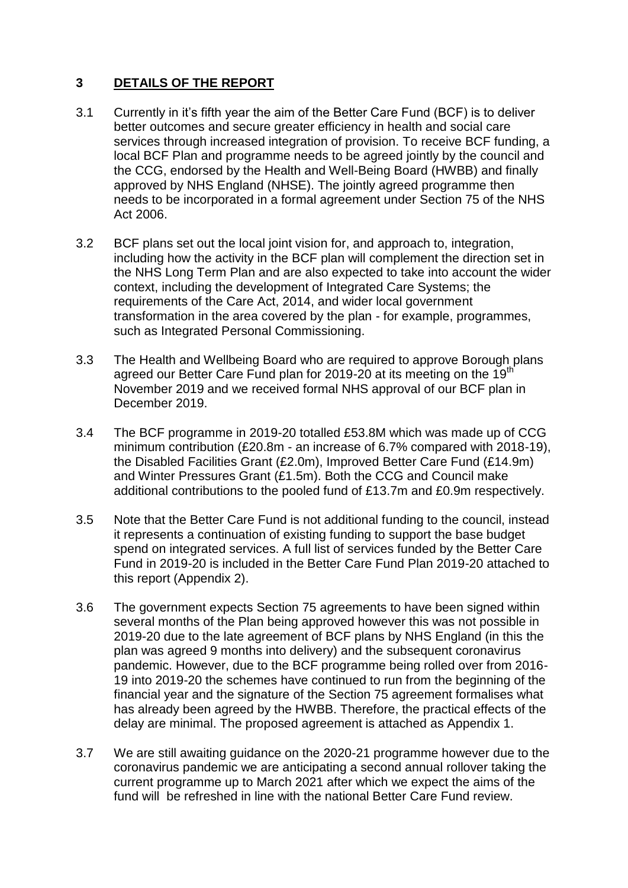## **3 DETAILS OF THE REPORT**

- 3.1 Currently in it's fifth year the aim of the Better Care Fund (BCF) is to deliver better outcomes and secure greater efficiency in health and social care services through increased integration of provision. To receive BCF funding, a local BCF Plan and programme needs to be agreed jointly by the council and the CCG, endorsed by the Health and Well-Being Board (HWBB) and finally approved by NHS England (NHSE). The jointly agreed programme then needs to be incorporated in a formal agreement under Section 75 of the NHS Act 2006.
- 3.2 BCF plans set out the local joint vision for, and approach to, integration, including how the activity in the BCF plan will complement the direction set in the NHS Long Term Plan and are also expected to take into account the wider context, including the development of Integrated Care Systems; the requirements of the Care Act, 2014, and wider local government transformation in the area covered by the plan - for example, programmes, such as Integrated Personal Commissioning.
- 3.3 The Health and Wellbeing Board who are required to approve Borough plans agreed our Better Care Fund plan for 2019-20 at its meeting on the 19<sup>th</sup> November 2019 and we received formal NHS approval of our BCF plan in December 2019.
- 3.4 The BCF programme in 2019-20 totalled £53.8M which was made up of CCG minimum contribution (£20.8m - an increase of 6.7% compared with 2018-19), the Disabled Facilities Grant (£2.0m), Improved Better Care Fund (£14.9m) and Winter Pressures Grant (£1.5m). Both the CCG and Council make additional contributions to the pooled fund of £13.7m and £0.9m respectively.
- 3.5 Note that the Better Care Fund is not additional funding to the council, instead it represents a continuation of existing funding to support the base budget spend on integrated services. A full list of services funded by the Better Care Fund in 2019-20 is included in the Better Care Fund Plan 2019-20 attached to this report (Appendix 2).
- 3.6 The government expects Section 75 agreements to have been signed within several months of the Plan being approved however this was not possible in 2019-20 due to the late agreement of BCF plans by NHS England (in this the plan was agreed 9 months into delivery) and the subsequent coronavirus pandemic. However, due to the BCF programme being rolled over from 2016- 19 into 2019-20 the schemes have continued to run from the beginning of the financial year and the signature of the Section 75 agreement formalises what has already been agreed by the HWBB. Therefore, the practical effects of the delay are minimal. The proposed agreement is attached as Appendix 1.
- 3.7 We are still awaiting guidance on the 2020-21 programme however due to the coronavirus pandemic we are anticipating a second annual rollover taking the current programme up to March 2021 after which we expect the aims of the fund will be refreshed in line with the national Better Care Fund review.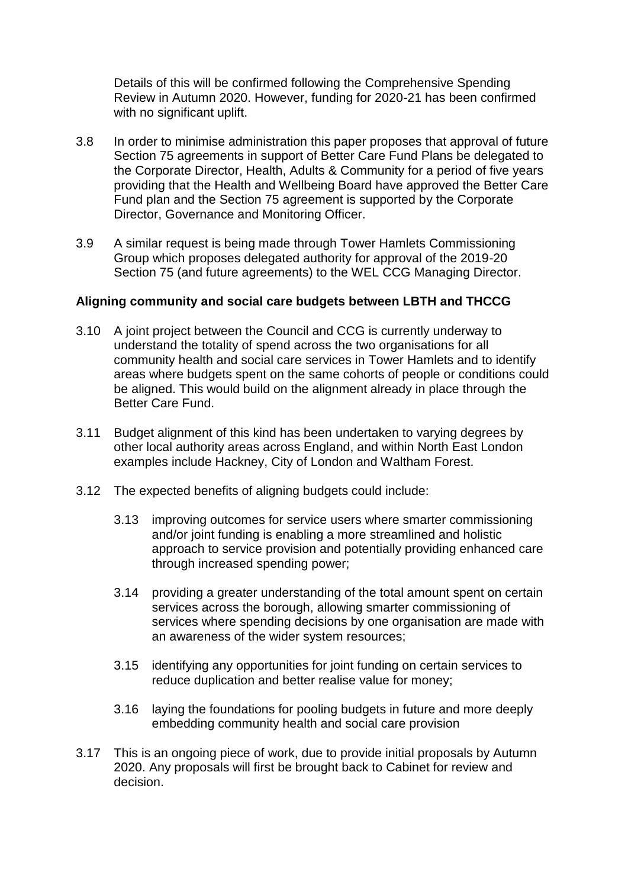Details of this will be confirmed following the Comprehensive Spending Review in Autumn 2020. However, funding for 2020-21 has been confirmed with no significant uplift.

- 3.8 In order to minimise administration this paper proposes that approval of future Section 75 agreements in support of Better Care Fund Plans be delegated to the Corporate Director, Health, Adults & Community for a period of five years providing that the Health and Wellbeing Board have approved the Better Care Fund plan and the Section 75 agreement is supported by the Corporate Director, Governance and Monitoring Officer.
- 3.9 A similar request is being made through Tower Hamlets Commissioning Group which proposes delegated authority for approval of the 2019-20 Section 75 (and future agreements) to the WEL CCG Managing Director.

#### **Aligning community and social care budgets between LBTH and THCCG**

- 3.10 A joint project between the Council and CCG is currently underway to understand the totality of spend across the two organisations for all community health and social care services in Tower Hamlets and to identify areas where budgets spent on the same cohorts of people or conditions could be aligned. This would build on the alignment already in place through the Better Care Fund.
- 3.11 Budget alignment of this kind has been undertaken to varying degrees by other local authority areas across England, and within North East London examples include Hackney, City of London and Waltham Forest.
- 3.12 The expected benefits of aligning budgets could include:
	- 3.13 improving outcomes for service users where smarter commissioning and/or joint funding is enabling a more streamlined and holistic approach to service provision and potentially providing enhanced care through increased spending power;
	- 3.14 providing a greater understanding of the total amount spent on certain services across the borough, allowing smarter commissioning of services where spending decisions by one organisation are made with an awareness of the wider system resources;
	- 3.15 identifying any opportunities for joint funding on certain services to reduce duplication and better realise value for money;
	- 3.16 laying the foundations for pooling budgets in future and more deeply embedding community health and social care provision
- 3.17 This is an ongoing piece of work, due to provide initial proposals by Autumn 2020. Any proposals will first be brought back to Cabinet for review and decision.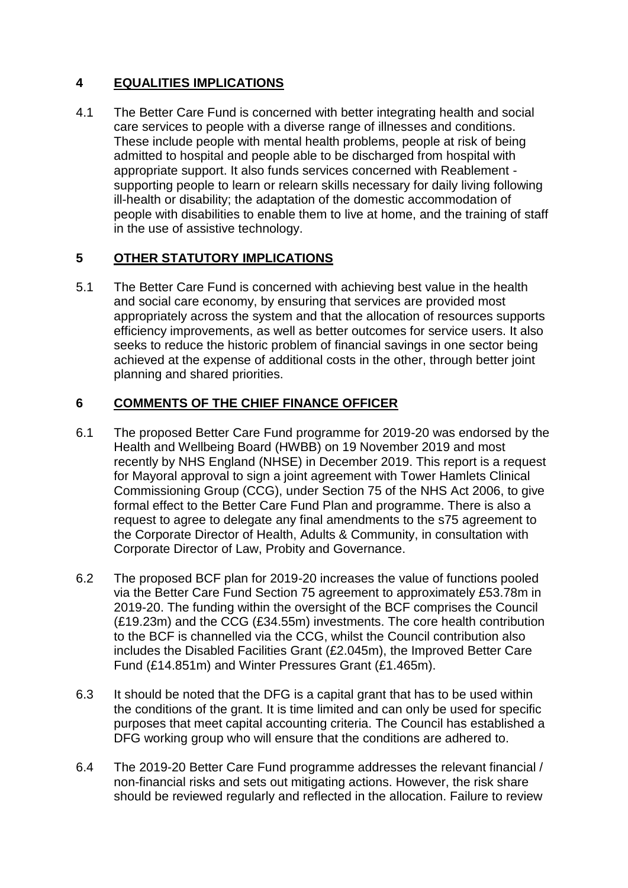# **4 EQUALITIES IMPLICATIONS**

4.1 The Better Care Fund is concerned with better integrating health and social care services to people with a diverse range of illnesses and conditions. These include people with mental health problems, people at risk of being admitted to hospital and people able to be discharged from hospital with appropriate support. It also funds services concerned with Reablement supporting people to learn or relearn skills necessary for daily living following ill-health or disability; the adaptation of the domestic accommodation of people with disabilities to enable them to live at home, and the training of staff in the use of assistive technology.

## **5 OTHER STATUTORY IMPLICATIONS**

5.1 The Better Care Fund is concerned with achieving best value in the health and social care economy, by ensuring that services are provided most appropriately across the system and that the allocation of resources supports efficiency improvements, as well as better outcomes for service users. It also seeks to reduce the historic problem of financial savings in one sector being achieved at the expense of additional costs in the other, through better joint planning and shared priorities.

## **6 COMMENTS OF THE CHIEF FINANCE OFFICER**

- 6.1 The proposed Better Care Fund programme for 2019-20 was endorsed by the Health and Wellbeing Board (HWBB) on 19 November 2019 and most recently by NHS England (NHSE) in December 2019. This report is a request for Mayoral approval to sign a joint agreement with Tower Hamlets Clinical Commissioning Group (CCG), under Section 75 of the NHS Act 2006, to give formal effect to the Better Care Fund Plan and programme. There is also a request to agree to delegate any final amendments to the s75 agreement to the Corporate Director of Health, Adults & Community, in consultation with Corporate Director of Law, Probity and Governance.
- 6.2 The proposed BCF plan for 2019-20 increases the value of functions pooled via the Better Care Fund Section 75 agreement to approximately £53.78m in 2019-20. The funding within the oversight of the BCF comprises the Council (£19.23m) and the CCG (£34.55m) investments. The core health contribution to the BCF is channelled via the CCG, whilst the Council contribution also includes the Disabled Facilities Grant (£2.045m), the Improved Better Care Fund (£14.851m) and Winter Pressures Grant (£1.465m).
- 6.3 It should be noted that the DFG is a capital grant that has to be used within the conditions of the grant. It is time limited and can only be used for specific purposes that meet capital accounting criteria. The Council has established a DFG working group who will ensure that the conditions are adhered to.
- 6.4 The 2019-20 Better Care Fund programme addresses the relevant financial / non-financial risks and sets out mitigating actions. However, the risk share should be reviewed regularly and reflected in the allocation. Failure to review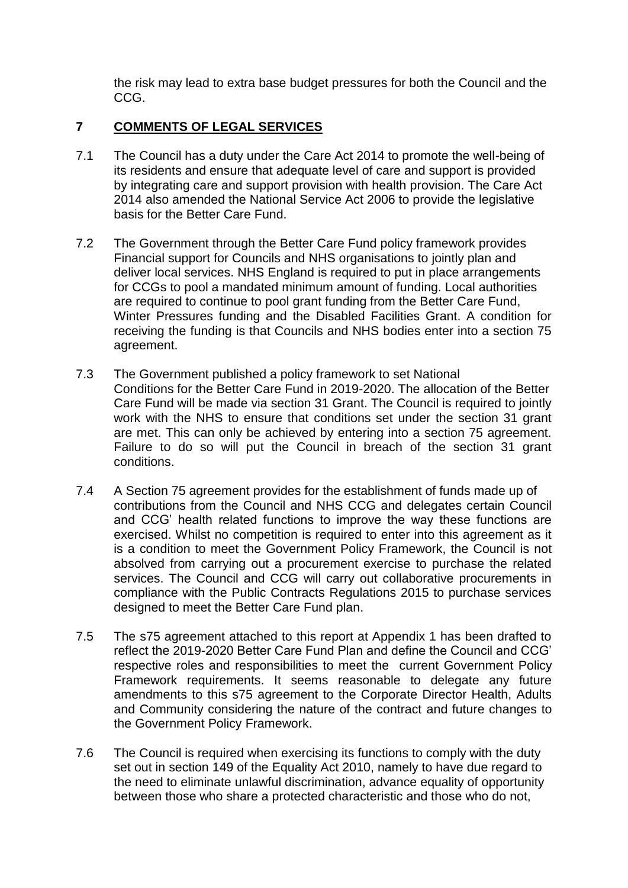the risk may lead to extra base budget pressures for both the Council and the CCG.

### **7 COMMENTS OF LEGAL SERVICES**

- 7.1 The Council has a duty under the Care Act 2014 to promote the well-being of its residents and ensure that adequate level of care and support is provided by integrating care and support provision with health provision. The Care Act 2014 also amended the National Service Act 2006 to provide the legislative basis for the Better Care Fund.
- 7.2 The Government through the Better Care Fund policy framework provides Financial support for Councils and NHS organisations to jointly plan and deliver local services. NHS England is required to put in place arrangements for CCGs to pool a mandated minimum amount of funding. Local authorities are required to continue to pool grant funding from the Better Care Fund, Winter Pressures funding and the Disabled Facilities Grant. A condition for receiving the funding is that Councils and NHS bodies enter into a section 75 agreement.
- 7.3 The Government published a policy framework to set National Conditions for the Better Care Fund in 2019-2020. The allocation of the Better Care Fund will be made via section 31 Grant. The Council is required to jointly work with the NHS to ensure that conditions set under the section 31 grant are met. This can only be achieved by entering into a section 75 agreement. Failure to do so will put the Council in breach of the section 31 grant conditions.
- 7.4 A Section 75 agreement provides for the establishment of funds made up of contributions from the Council and NHS CCG and delegates certain Council and CCG' health related functions to improve the way these functions are exercised. Whilst no competition is required to enter into this agreement as it is a condition to meet the Government Policy Framework, the Council is not absolved from carrying out a procurement exercise to purchase the related services. The Council and CCG will carry out collaborative procurements in compliance with the Public Contracts Regulations 2015 to purchase services designed to meet the Better Care Fund plan.
- 7.5 The s75 agreement attached to this report at Appendix 1 has been drafted to reflect the 2019-2020 Better Care Fund Plan and define the Council and CCG' respective roles and responsibilities to meet the current Government Policy Framework requirements. It seems reasonable to delegate any future amendments to this s75 agreement to the Corporate Director Health, Adults and Community considering the nature of the contract and future changes to the Government Policy Framework.
- 7.6 The Council is required when exercising its functions to comply with the duty set out in section 149 of the Equality Act 2010, namely to have due regard to the need to eliminate unlawful discrimination, advance equality of opportunity between those who share a protected characteristic and those who do not,